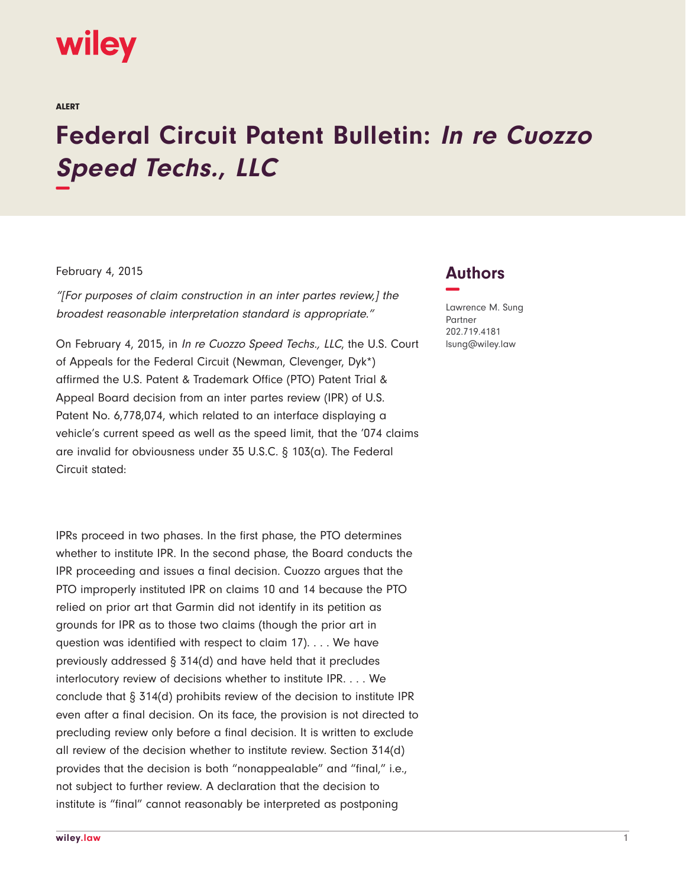## wiley

ALERT

## **Federal Circuit Patent Bulletin: In re Cuozzo Speed Techs., LLC −**

## February 4, 2015

"[For purposes of claim construction in an inter partes review,] the broadest reasonable interpretation standard is appropriate."

On February 4, 2015, in In re Cuozzo Speed Techs., LLC, the U.S. Court of Appeals for the Federal Circuit (Newman, Clevenger, Dyk\*) affirmed the U.S. Patent & Trademark Office (PTO) Patent Trial & Appeal Board decision from an inter partes review (IPR) of U.S. Patent No. 6,778,074, which related to an interface displaying a vehicle's current speed as well as the speed limit, that the '074 claims are invalid for obviousness under 35 U.S.C. § 103(a). The Federal Circuit stated:

IPRs proceed in two phases. In the first phase, the PTO determines whether to institute IPR. In the second phase, the Board conducts the IPR proceeding and issues a final decision. Cuozzo argues that the PTO improperly instituted IPR on claims 10 and 14 because the PTO relied on prior art that Garmin did not identify in its petition as grounds for IPR as to those two claims (though the prior art in question was identified with respect to claim 17). . . . We have previously addressed § 314(d) and have held that it precludes interlocutory review of decisions whether to institute IPR. . . . We conclude that § 314(d) prohibits review of the decision to institute IPR even after a final decision. On its face, the provision is not directed to precluding review only before a final decision. It is written to exclude all review of the decision whether to institute review. Section 314(d) provides that the decision is both "nonappealable" and "final," i.e., not subject to further review. A declaration that the decision to institute is "final" cannot reasonably be interpreted as postponing

## **Authors −**

Lawrence M. Sung Partner 202.719.4181 lsung@wiley.law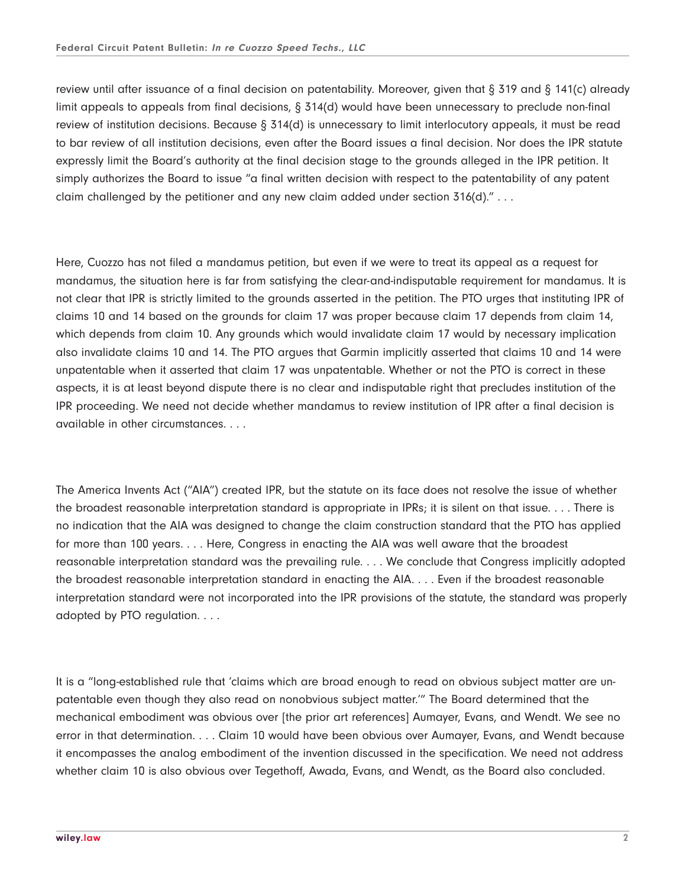review until after issuance of a final decision on patentability. Moreover, given that § 319 and § 141(c) already limit appeals to appeals from final decisions, § 314(d) would have been unnecessary to preclude non-final review of institution decisions. Because § 314(d) is unnecessary to limit interlocutory appeals, it must be read to bar review of all institution decisions, even after the Board issues a final decision. Nor does the IPR statute expressly limit the Board's authority at the final decision stage to the grounds alleged in the IPR petition. It simply authorizes the Board to issue "a final written decision with respect to the patentability of any patent claim challenged by the petitioner and any new claim added under section  $316(d)$ ." . . .

Here, Cuozzo has not filed a mandamus petition, but even if we were to treat its appeal as a request for mandamus, the situation here is far from satisfying the clear-and-indisputable requirement for mandamus. It is not clear that IPR is strictly limited to the grounds asserted in the petition. The PTO urges that instituting IPR of claims 10 and 14 based on the grounds for claim 17 was proper because claim 17 depends from claim 14, which depends from claim 10. Any grounds which would invalidate claim 17 would by necessary implication also invalidate claims 10 and 14. The PTO argues that Garmin implicitly asserted that claims 10 and 14 were unpatentable when it asserted that claim 17 was unpatentable. Whether or not the PTO is correct in these aspects, it is at least beyond dispute there is no clear and indisputable right that precludes institution of the IPR proceeding. We need not decide whether mandamus to review institution of IPR after a final decision is available in other circumstances. . . .

The America Invents Act ("AIA") created IPR, but the statute on its face does not resolve the issue of whether the broadest reasonable interpretation standard is appropriate in IPRs; it is silent on that issue. . . . There is no indication that the AIA was designed to change the claim construction standard that the PTO has applied for more than 100 years. . . . Here, Congress in enacting the AIA was well aware that the broadest reasonable interpretation standard was the prevailing rule. . . . We conclude that Congress implicitly adopted the broadest reasonable interpretation standard in enacting the AIA. . . . Even if the broadest reasonable interpretation standard were not incorporated into the IPR provisions of the statute, the standard was properly adopted by PTO regulation. . . .

It is a "long-established rule that 'claims which are broad enough to read on obvious subject matter are unpatentable even though they also read on nonobvious subject matter.'" The Board determined that the mechanical embodiment was obvious over [the prior art references] Aumayer, Evans, and Wendt. We see no error in that determination. . . . Claim 10 would have been obvious over Aumayer, Evans, and Wendt because it encompasses the analog embodiment of the invention discussed in the specification. We need not address whether claim 10 is also obvious over Tegethoff, Awada, Evans, and Wendt, as the Board also concluded.